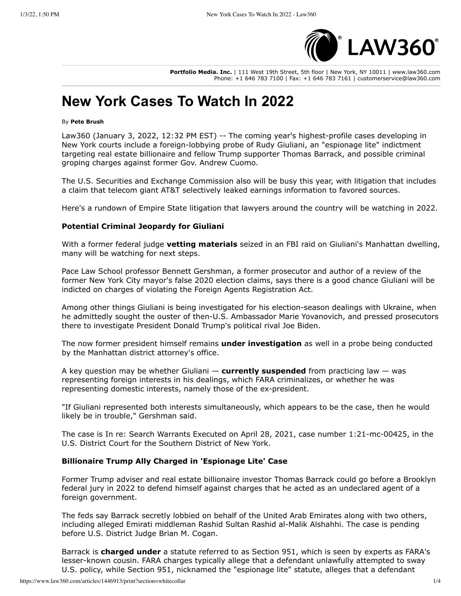

Portfolio Media, Inc. | 111 West 19th Street, 5th floor | New York, NY 10011 | www.law360.com Phone: +1 646 783 7100 | Fax: +1 646 783 7161 | customerservice@law360.com

# **New York Cases To Watch In 2022**

#### By Pete Brush

Law360 (January 3, 2022, 12:32 PM EST) -- The coming year's highest-profile cases developing in New York courts include a foreign-lobbying probe of Rudy Giuliani, an "espionage lite" indictment targeting real estate billionaire and fellow Trump supporter Thomas Barrack, and possible criminal groping charges against former Gov. Andrew Cuomo.

The U.S. Securities and Exchange Commission also will be busy this year, with litigation that includes a claim that telecom giant AT&T selectively leaked earnings information to favored sources.

Here's a rundown of Empire State litigation that lawyers around the country will be watching in 2022.

#### **Potential Criminal Jeopardy for Giuliani**

With a former federal judge vetting materials seized in an FBI raid on Giuliani's Manhattan dwelling, many will be watching for next steps.

Pace Law School professor Bennett Gershman, a former prosecutor and author of a review of the former New York City mayor's false 2020 election claims, says there is a good chance Giuliani will be indicted on charges of violating the Foreign Agents Registration Act.

Among other things Giuliani is being investigated for his election-season dealings with Ukraine, when he admittedly sought the ouster of then-U.S. Ambassador Marie Yovanovich, and pressed prosecutors there to investigate President Donald Trump's political rival Joe Biden.

The now former president himself remains under investigation as well in a probe being conducted by the Manhattan district attorney's office.

A key question may be whether Giuliani  $-$  currently suspended from practicing law  $-$  was representing foreign interests in his dealings, which FARA criminalizes, or whether he was representing domestic interests, namely those of the ex-president.

"If Giuliani represented both interests simultaneously, which appears to be the case, then he would likely be in trouble," Gershman said.

The case is In re: Search Warrants Executed on April 28, 2021, case number 1:21-mc-00425, in the U.S. District Court for the Southern District of New York.

## **Billionaire Trump Ally Charged in 'Espionage Lite' Case**

Former Trump adviser and real estate billionaire investor Thomas Barrack could go before a Brooklyn federal jury in 2022 to defend himself against charges that he acted as an undeclared agent of a foreign government.

The feds say Barrack secretly lobbied on behalf of the United Arab Emirates along with two others, including alleged Emirati middleman Rashid Sultan Rashid al-Malik Alshahhi. The case is pending before U.S. District Judge Brian M. Cogan.

Barrack is charged under a statute referred to as Section 951, which is seen by experts as FARA's lesser-known cousin. FARA charges typically allege that a defendant unlawfully attempted to sway U.S. policy, while Section 951, nicknamed the "espionage lite" statute, alleges that a defendant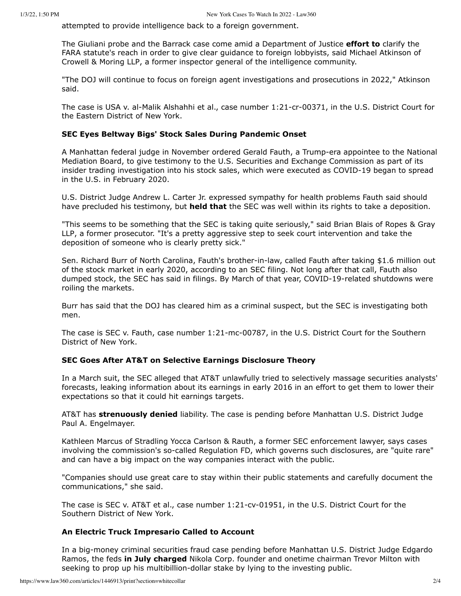attempted to provide intelligence back to a foreign government.

The Giuliani probe and the Barrack case come amid a Department of Justice **effort to** clarify the FARA statute's reach in order to give clear guidance to foreign lobbyists, said Michael Atkinson of Crowell & Moring LLP, a former inspector general of the intelligence community.

"The DOJ will continue to focus on foreign agent investigations and prosecutions in 2022," Atkinson said.

The case is USA v. al-Malik Alshahhi et al., case number 1:21-cr-00371, in the U.S. District Court for the Fastern District of New York.

## SEC Eyes Beltway Bigs' Stock Sales During Pandemic Onset

A Manhattan federal judge in November ordered Gerald Fauth, a Trump-era appointee to the National Mediation Board, to give testimony to the U.S. Securities and Exchange Commission as part of its insider trading investigation into his stock sales, which were executed as COVID-19 began to spread in the U.S. in February 2020.

U.S. District Judge Andrew L. Carter Jr. expressed sympathy for health problems Fauth said should have precluded his testimony, but held that the SEC was well within its rights to take a deposition.

"This seems to be something that the SEC is taking quite seriously," said Brian Blais of Ropes & Gray LLP, a former prosecutor. "It's a pretty aggressive step to seek court intervention and take the deposition of someone who is clearly pretty sick."

Sen. Richard Burr of North Carolina, Fauth's brother-in-law, called Fauth after taking \$1.6 million out of the stock market in early 2020, according to an SEC filing. Not long after that call, Fauth also dumped stock, the SEC has said in filings. By March of that year, COVID-19-related shutdowns were roiling the markets.

Burr has said that the DOJ has cleared him as a criminal suspect, but the SEC is investigating both men.

The case is SEC v. Fauth, case number 1:21-mc-00787, in the U.S. District Court for the Southern District of New York.

## **SEC Goes After AT&T on Selective Earnings Disclosure Theory**

In a March suit, the SEC alleged that AT&T unlawfully tried to selectively massage securities analysts' forecasts, leaking information about its earnings in early 2016 in an effort to get them to lower their expectations so that it could hit earnings targets.

AT&T has strenuously denied liability. The case is pending before Manhattan U.S. District Judge Paul A. Engelmayer.

Kathleen Marcus of Stradling Yocca Carlson & Rauth, a former SEC enforcement lawyer, says cases involving the commission's so-called Regulation FD, which governs such disclosures, are "quite rare" and can have a big impact on the way companies interact with the public.

"Companies should use great care to stay within their public statements and carefully document the communications," she said.

The case is SEC v. AT&T et al., case number 1:21-cv-01951, in the U.S. District Court for the Southern District of New York.

## An Electric Truck Impresario Called to Account

In a big-money criminal securities fraud case pending before Manhattan U.S. District Judge Edgardo Ramos, the feds in July charged Nikola Corp. founder and onetime chairman Trevor Milton with seeking to prop up his multibillion-dollar stake by lying to the investing public.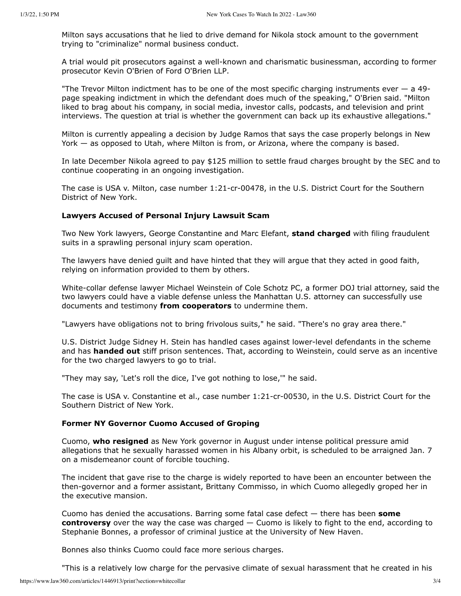Milton says accusations that he lied to drive demand for Nikola stock amount to the government trying to "criminalize" normal business conduct.

A trial would pit prosecutors against a well-known and charismatic businessman, according to former prosecutor Kevin O'Brien of Ford O'Brien LLP.

"The Trevor Milton indictment has to be one of the most specific charging instruments ever  $-$  a 49page speaking indictment in which the defendant does much of the speaking," O'Brien said. "Milton liked to brag about his company, in social media, investor calls, podcasts, and television and print interviews. The question at trial is whether the government can back up its exhaustive allegations."

Milton is currently appealing a decision by Judge Ramos that says the case properly belongs in New York — as opposed to Utah, where Milton is from, or Arizona, where the company is based.

In late December Nikola agreed to pay \$125 million to settle fraud charges brought by the SEC and to continue cooperating in an ongoing investigation.

The case is USA v. Milton, case number 1:21-cr-00478, in the U.S. District Court for the Southern District of New York.

## **Lawyers Accused of Personal Injury Lawsuit Scam**

Two New York lawyers, George Constantine and Marc Elefant, stand charged with filing fraudulent suits in a sprawling personal injury scam operation.

The lawyers have denied guilt and have hinted that they will argue that they acted in good faith, relying on information provided to them by others.

White-collar defense lawyer Michael Weinstein of Cole Schotz PC, a former DOJ trial attorney, said the two lawyers could have a viable defense unless the Manhattan U.S. attorney can successfully use documents and testimony from cooperators to undermine them.

"Lawyers have obligations not to bring frivolous suits," he said. "There's no gray area there."

U.S. District Judge Sidney H. Stein has handled cases against lower-level defendants in the scheme and has handed out stiff prison sentences. That, according to Weinstein, could serve as an incentive for the two charged lawyers to go to trial.

"They may say, 'Let's roll the dice, I've got nothing to lose," he said.

The case is USA v. Constantine et al., case number 1:21-cr-00530, in the U.S. District Court for the Southern District of New York.

#### **Former NY Governor Cuomo Accused of Groping**

Cuomo, who resigned as New York governor in August under intense political pressure amid allegations that he sexually harassed women in his Albany orbit, is scheduled to be arraigned Jan. 7 on a misdemeanor count of forcible touching.

The incident that gave rise to the charge is widely reported to have been an encounter between the then-governor and a former assistant, Brittany Commisso, in which Cuomo allegedly groped her in the executive mansion.

Cuomo has denied the accusations. Barring some fatal case defect  $-$  there has been some controversy over the way the case was charged  $-$  Cuomo is likely to fight to the end, according to Stephanie Bonnes, a professor of criminal justice at the University of New Haven.

Bonnes also thinks Cuomo could face more serious charges.

"This is a relatively low charge for the pervasive climate of sexual harassment that he created in his